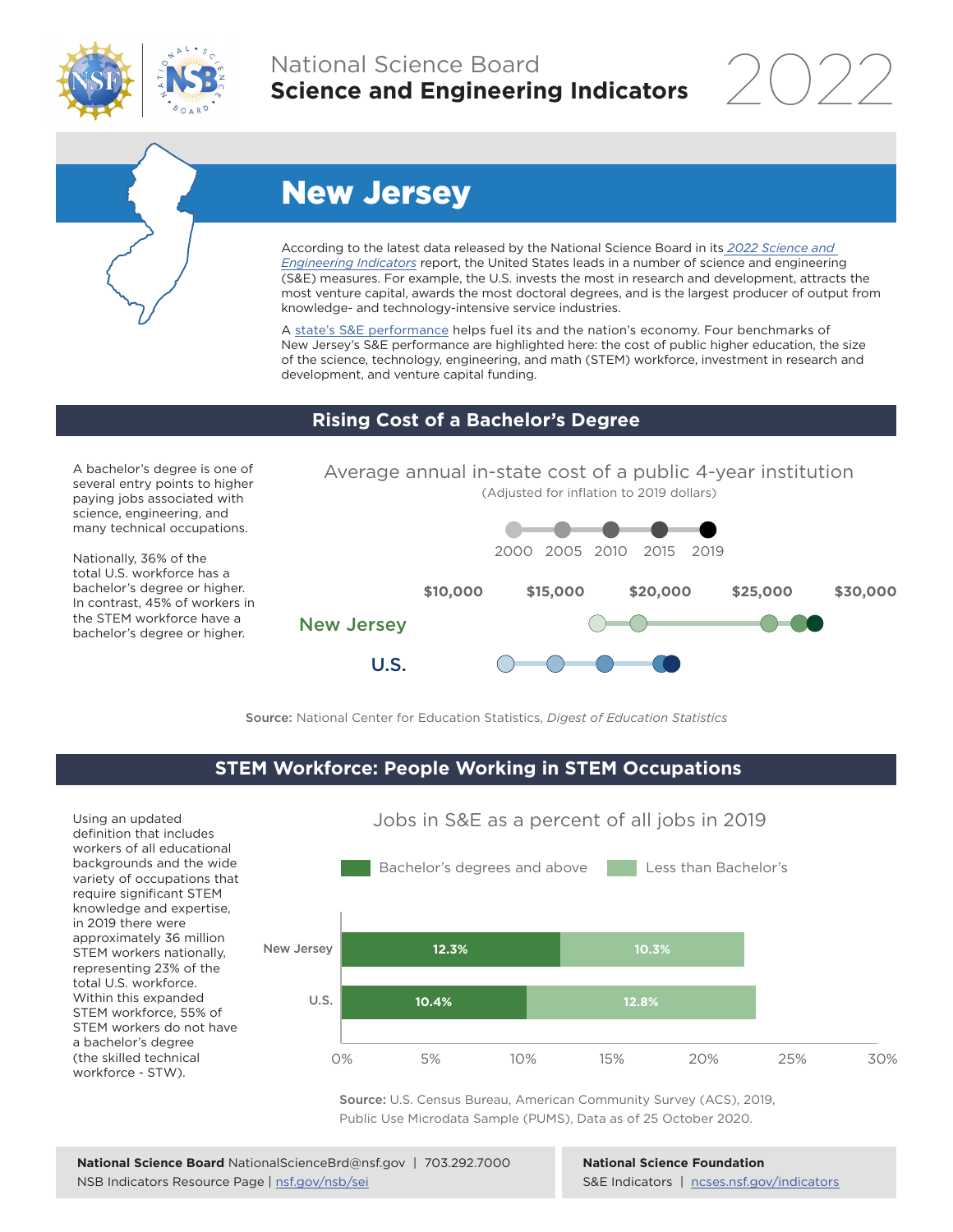

### National Science Board **Science and Engineering Indicators**



# New Jersey

According to the latest data released by the National Science Board in its *[2022 Science and](https://www.ncses.nsf.gov/indicators)  [Engineering Indicators](https://www.ncses.nsf.gov/indicators)* report, the United States leads in a number of science and engineering (S&E) measures. For example, the U.S. invests the most in research and development, attracts the most venture capital, awards the most doctoral degrees, and is the largest producer of output from knowledge- and technology-intensive service industries.

A [state's S&E performance](https://ncses.nsf.gov/indicators/states/) helps fuel its and the nation's economy. Four benchmarks of New Jersey's S&E performance are highlighted here: the cost of public higher education, the size of the science, technology, engineering, and math (STEM) workforce, investment in research and development, and venture capital funding.

#### **Rising Cost of a Bachelor's Degree**

A bachelor's degree is one of several entry points to higher paying jobs associated with science, engineering, and many technical occupations.

Nationally, 36% of the total U.S. workforce has a bachelor's degree or higher. In contrast, 45% of workers in the STEM workforce have a bachelor's degree or higher.



Source: National Center for Education Statistics, *Digest of Education Statistics*

#### **STEM Workforce: People Working in STEM Occupations**

Using an updated definition that includes workers of all educational backgrounds and the wide variety of occupations that require significant STEM knowledge and expertise, in 2019 there were approximately 36 million STEM workers nationally, representing 23% of the total U.S. workforce. Within this expanded STEM workforce, 55% of STEM workers do not have a bachelor's degree (the skilled technical workforce - STW).



Jobs in S&E as a percent of all jobs in 2019

Source: U.S. Census Bureau, American Community Survey (ACS), 2019, Public Use Microdata Sample (PUMS), Data as of 25 October 2020.

**National Science Foundation** S&E Indicators | [ncses.nsf.gov/indicators](https://www.ncses.nsf.gov/indicators)